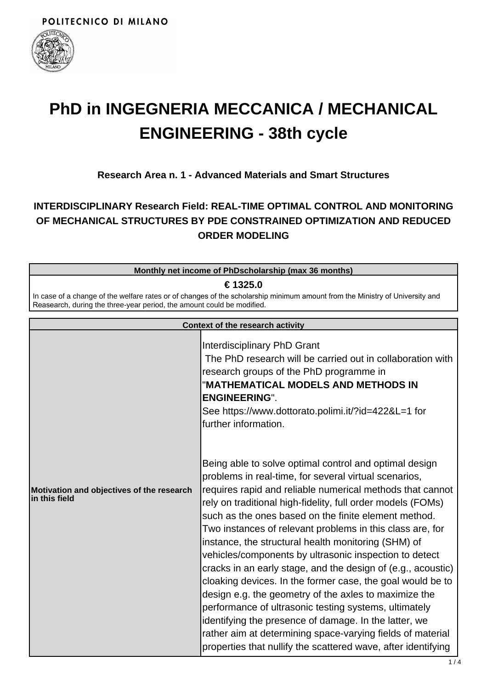

# **PhD in INGEGNERIA MECCANICA / MECHANICAL ENGINEERING - 38th cycle**

## **Research Area n. 1 - Advanced Materials and Smart Structures**

# **INTERDISCIPLINARY Research Field: REAL-TIME OPTIMAL CONTROL AND MONITORING OF MECHANICAL STRUCTURES BY PDE CONSTRAINED OPTIMIZATION AND REDUCED ORDER MODELING**

|                                                                                                                                                                                                                    | Monthly net income of PhDscholarship (max 36 months)                                                                                                                                                                                                                                                                                                                                                                                                                                                                                                                                                                                                                                                                                                                                                                                                                                                                                                                                                                    |  |
|--------------------------------------------------------------------------------------------------------------------------------------------------------------------------------------------------------------------|-------------------------------------------------------------------------------------------------------------------------------------------------------------------------------------------------------------------------------------------------------------------------------------------------------------------------------------------------------------------------------------------------------------------------------------------------------------------------------------------------------------------------------------------------------------------------------------------------------------------------------------------------------------------------------------------------------------------------------------------------------------------------------------------------------------------------------------------------------------------------------------------------------------------------------------------------------------------------------------------------------------------------|--|
| € 1325.0<br>In case of a change of the welfare rates or of changes of the scholarship minimum amount from the Ministry of University and<br>Reasearch, during the three-year period, the amount could be modified. |                                                                                                                                                                                                                                                                                                                                                                                                                                                                                                                                                                                                                                                                                                                                                                                                                                                                                                                                                                                                                         |  |
| <b>Context of the research activity</b>                                                                                                                                                                            |                                                                                                                                                                                                                                                                                                                                                                                                                                                                                                                                                                                                                                                                                                                                                                                                                                                                                                                                                                                                                         |  |
| Motivation and objectives of the research<br>in this field                                                                                                                                                         | Interdisciplinary PhD Grant<br>The PhD research will be carried out in collaboration with<br>research groups of the PhD programme in<br>"MATHEMATICAL MODELS AND METHODS IN<br><b>ENGINEERING".</b><br>See https://www.dottorato.polimi.it/?id=422&L=1 for<br>further information.<br>Being able to solve optimal control and optimal design<br>problems in real-time, for several virtual scenarios,<br>requires rapid and reliable numerical methods that cannot<br>rely on traditional high-fidelity, full order models (FOMs)<br>such as the ones based on the finite element method.<br>Two instances of relevant problems in this class are, for<br>instance, the structural health monitoring (SHM) of<br>vehicles/components by ultrasonic inspection to detect<br>cracks in an early stage, and the design of (e.g., acoustic)<br>cloaking devices. In the former case, the goal would be to<br>design e.g. the geometry of the axles to maximize the<br>performance of ultrasonic testing systems, ultimately |  |

identifying the presence of damage. In the latter, we

rather aim at determining space-varying fields of material properties that nullify the scattered wave, after identifying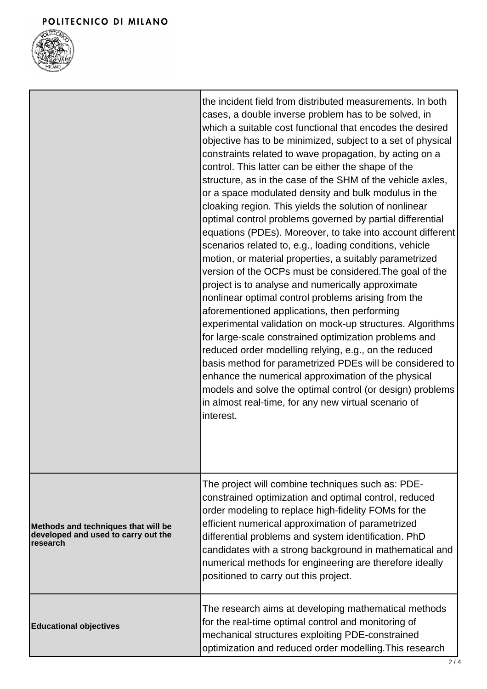

|                                                                                        | the incident field from distributed measurements. In both<br>cases, a double inverse problem has to be solved, in<br>which a suitable cost functional that encodes the desired<br>objective has to be minimized, subject to a set of physical<br>constraints related to wave propagation, by acting on a<br>control. This latter can be either the shape of the<br>structure, as in the case of the SHM of the vehicle axles,<br>or a space modulated density and bulk modulus in the<br>cloaking region. This yields the solution of nonlinear<br>optimal control problems governed by partial differential<br>equations (PDEs). Moreover, to take into account different<br>scenarios related to, e.g., loading conditions, vehicle<br>motion, or material properties, a suitably parametrized<br>version of the OCPs must be considered. The goal of the<br>project is to analyse and numerically approximate<br>nonlinear optimal control problems arising from the<br>aforementioned applications, then performing<br>experimental validation on mock-up structures. Algorithms<br>for large-scale constrained optimization problems and<br>reduced order modelling relying, e.g., on the reduced<br>basis method for parametrized PDEs will be considered to<br>enhance the numerical approximation of the physical<br>models and solve the optimal control (or design) problems<br>in almost real-time, for any new virtual scenario of<br>interest. |
|----------------------------------------------------------------------------------------|-------------------------------------------------------------------------------------------------------------------------------------------------------------------------------------------------------------------------------------------------------------------------------------------------------------------------------------------------------------------------------------------------------------------------------------------------------------------------------------------------------------------------------------------------------------------------------------------------------------------------------------------------------------------------------------------------------------------------------------------------------------------------------------------------------------------------------------------------------------------------------------------------------------------------------------------------------------------------------------------------------------------------------------------------------------------------------------------------------------------------------------------------------------------------------------------------------------------------------------------------------------------------------------------------------------------------------------------------------------------------------------------------------------------------------------------------------------|
| Methods and techniques that will be<br>developed and used to carry out the<br>research | The project will combine techniques such as: PDE-<br>constrained optimization and optimal control, reduced<br>order modeling to replace high-fidelity FOMs for the<br>efficient numerical approximation of parametrized<br>differential problems and system identification. PhD<br>candidates with a strong background in mathematical and<br>numerical methods for engineering are therefore ideally<br>positioned to carry out this project.                                                                                                                                                                                                                                                                                                                                                                                                                                                                                                                                                                                                                                                                                                                                                                                                                                                                                                                                                                                                              |
| <b>Educational objectives</b>                                                          | The research aims at developing mathematical methods<br>for the real-time optimal control and monitoring of<br>mechanical structures exploiting PDE-constrained<br>optimization and reduced order modelling. This research                                                                                                                                                                                                                                                                                                                                                                                                                                                                                                                                                                                                                                                                                                                                                                                                                                                                                                                                                                                                                                                                                                                                                                                                                                  |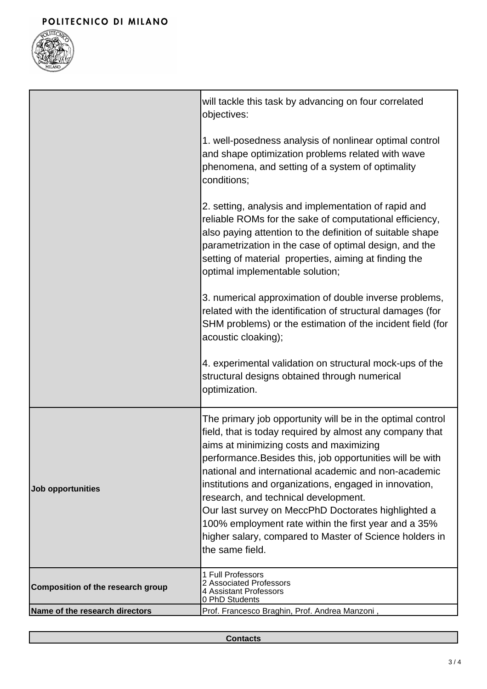

|                                   | will tackle this task by advancing on four correlated<br>objectives:                                                                                                                                                                                                                                                                                                                                                                                                                                                                                                                  |
|-----------------------------------|---------------------------------------------------------------------------------------------------------------------------------------------------------------------------------------------------------------------------------------------------------------------------------------------------------------------------------------------------------------------------------------------------------------------------------------------------------------------------------------------------------------------------------------------------------------------------------------|
|                                   | 1. well-posedness analysis of nonlinear optimal control<br>and shape optimization problems related with wave<br>phenomena, and setting of a system of optimality<br>conditions;                                                                                                                                                                                                                                                                                                                                                                                                       |
|                                   | 2. setting, analysis and implementation of rapid and<br>reliable ROMs for the sake of computational efficiency,<br>also paying attention to the definition of suitable shape<br>parametrization in the case of optimal design, and the<br>setting of material properties, aiming at finding the<br>optimal implementable solution;                                                                                                                                                                                                                                                    |
|                                   | 3. numerical approximation of double inverse problems,<br>related with the identification of structural damages (for<br>SHM problems) or the estimation of the incident field (for<br>acoustic cloaking);                                                                                                                                                                                                                                                                                                                                                                             |
|                                   | 4. experimental validation on structural mock-ups of the<br>structural designs obtained through numerical<br>optimization.                                                                                                                                                                                                                                                                                                                                                                                                                                                            |
| Job opportunities                 | The primary job opportunity will be in the optimal control<br>field, that is today required by almost any company that<br>aims at minimizing costs and maximizing<br>performance. Besides this, job opportunities will be with<br>national and international academic and non-academic<br>institutions and organizations, engaged in innovation,<br>research, and technical development.<br>Our last survey on MeccPhD Doctorates highlighted a<br>100% employment rate within the first year and a 35%<br>higher salary, compared to Master of Science holders in<br>the same field. |
| Composition of the research group | 1 Full Professors<br>2 Associated Professors<br>4 Assistant Professors<br>0 PhD Students                                                                                                                                                                                                                                                                                                                                                                                                                                                                                              |
| Name of the research directors    | Prof. Francesco Braghin, Prof. Andrea Manzoni,                                                                                                                                                                                                                                                                                                                                                                                                                                                                                                                                        |

**Contacts**